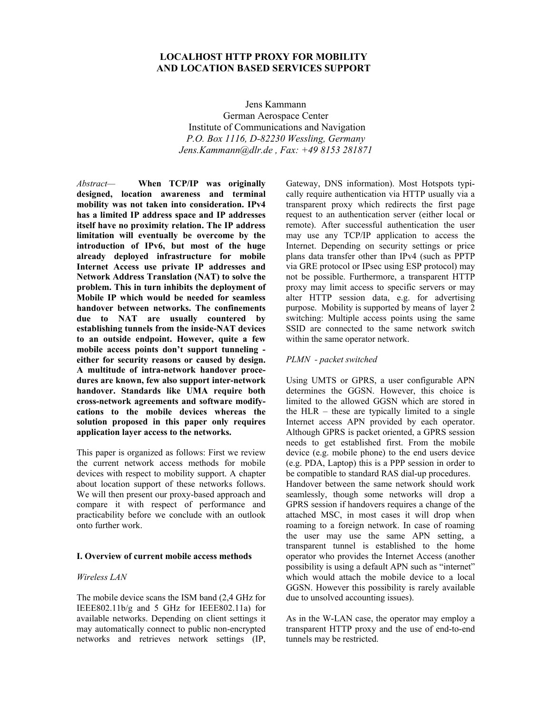# **LOCALHOST HTTP PROXY FOR MOBILITY AND LOCATION BASED SERVICES SUPPORT**

Jens Kammann German Aerospace Center Institute of Communications and Navigation *P.O. Box 1116, D-82230 Wessling, Germany Jens.Kammann@dlr.de , Fax: +49 8153 281871*

*Abstract—* **When TCP/IP was originally designed, location awareness and terminal mobility was not taken into consideration. IPv4 has a limited IP address space and IP addresses itself have no proximity relation. The IP address limitation will eventually be overcome by the introduction of IPv6, but most of the huge already deployed infrastructure for mobile Internet Access use private IP addresses and Network Address Translation (NAT) to solve the problem. This in turn inhibits the deployment of Mobile IP which would be needed for seamless handover between networks. The confinements due to NAT are usually countered by establishing tunnels from the inside-NAT devices to an outside endpoint. However, quite a few mobile access points don't support tunneling either for security reasons or caused by design. A multitude of intra-network handover procedures are known, few also support inter-network handover. Standards like UMA require both cross-network agreements and software modifycations to the mobile devices whereas the solution proposed in this paper only requires application layer access to the networks.** 

This paper is organized as follows: First we review the current network access methods for mobile devices with respect to mobility support. A chapter about location support of these networks follows. We will then present our proxy-based approach and compare it with respect of performance and practicability before we conclude with an outlook onto further work.

# **I. Overview of current mobile access methods**

### *Wireless LAN*

The mobile device scans the ISM band (2,4 GHz for IEEE802.11b/g and 5 GHz for IEEE802.11a) for available networks. Depending on client settings it may automatically connect to public non-encrypted networks and retrieves network settings (IP,

Gateway, DNS information). Most Hotspots typically require authentication via HTTP usually via a transparent proxy which redirects the first page request to an authentication server (either local or remote). After successful authentication the user may use any TCP/IP application to access the Internet. Depending on security settings or price plans data transfer other than IPv4 (such as PPTP via GRE protocol or IPsec using ESP protocol) may not be possible. Furthermore, a transparent HTTP proxy may limit access to specific servers or may alter HTTP session data, e.g. for advertising purpose. Mobility is supported by means of layer 2 switching: Multiple access points using the same SSID are connected to the same network switch within the same operator network.

### *PLMN - packet switched*

Using UMTS or GPRS, a user configurable APN determines the GGSN. However, this choice is limited to the allowed GGSN which are stored in the HLR – these are typically limited to a single Internet access APN provided by each operator. Although GPRS is packet oriented, a GPRS session needs to get established first. From the mobile device (e.g. mobile phone) to the end users device (e.g. PDA, Laptop) this is a PPP session in order to be compatible to standard RAS dial-up procedures. Handover between the same network should work seamlessly, though some networks will drop a GPRS session if handovers requires a change of the attached MSC, in most cases it will drop when roaming to a foreign network. In case of roaming the user may use the same APN setting, a transparent tunnel is established to the home operator who provides the Internet Access (another possibility is using a default APN such as "internet" which would attach the mobile device to a local GGSN. However this possibility is rarely available due to unsolved accounting issues).

As in the W-LAN case, the operator may employ a transparent HTTP proxy and the use of end-to-end tunnels may be restricted.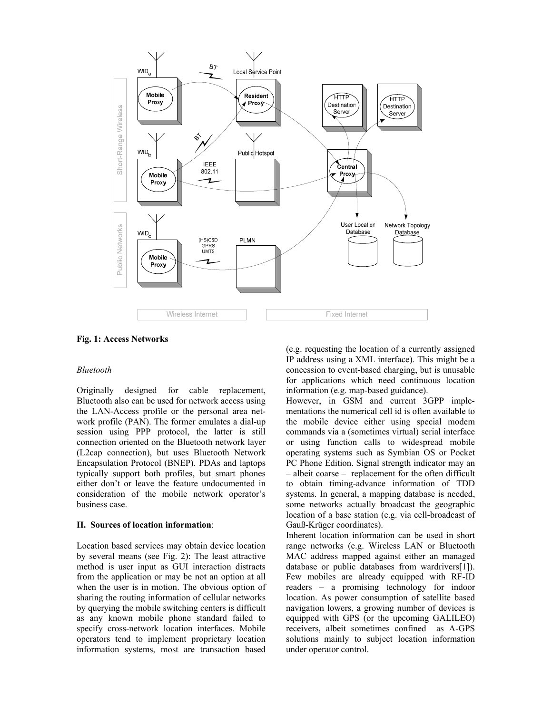

**Fig. 1: Access Networks** 

## *Bluetooth*

Originally designed for cable replacement, Bluetooth also can be used for network access using the LAN-Access profile or the personal area network profile (PAN). The former emulates a dial-up session using PPP protocol, the latter is still connection oriented on the Bluetooth network layer (L2cap connection), but uses Bluetooth Network Encapsulation Protocol (BNEP). PDAs and laptops typically support both profiles, but smart phones either don't or leave the feature undocumented in consideration of the mobile network operator's business case.

### **II. Sources of location information**:

Location based services may obtain device location by several means (see Fig. 2): The least attractive method is user input as GUI interaction distracts from the application or may be not an option at all when the user is in motion. The obvious option of sharing the routing information of cellular networks by querying the mobile switching centers is difficult as any known mobile phone standard failed to specify cross-network location interfaces. Mobile operators tend to implement proprietary location information systems, most are transaction based

(e.g. requesting the location of a currently assigned IP address using a XML interface). This might be a concession to event-based charging, but is unusable for applications which need continuous location information (e.g. map-based guidance).

However, in GSM and current 3GPP implementations the numerical cell id is often available to the mobile device either using special modem commands via a (sometimes virtual) serial interface or using function calls to widespread mobile operating systems such as Symbian OS or Pocket PC Phone Edition. Signal strength indicator may an – albeit coarse – replacement for the often difficult to obtain timing-advance information of TDD systems. In general, a mapping database is needed, some networks actually broadcast the geographic location of a base station (e.g. via cell-broadcast of Gauß-Krüger coordinates).

Inherent location information can be used in short range networks (e.g. Wireless LAN or Bluetooth MAC address mapped against either an managed database or public databases from wardrivers[1]). Few mobiles are already equipped with RF-ID readers – a promising technology for indoor location. As power consumption of satellite based navigation lowers, a growing number of devices is equipped with GPS (or the upcoming GALILEO) receivers, albeit sometimes confined as A-GPS solutions mainly to subject location information under operator control.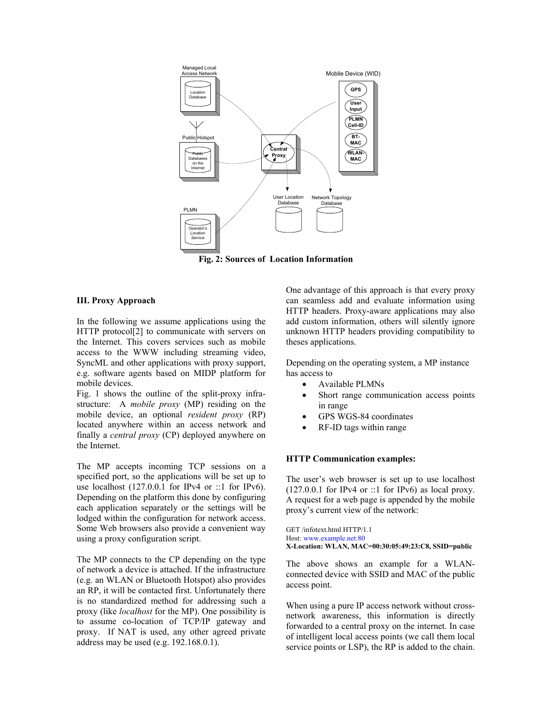

**Fig. 2: Sources of Location Information**

## **III. Proxy Approach**

In the following we assume applications using the HTTP protocol<sup>[2]</sup> to communicate with servers on the Internet. This covers services such as mobile access to the WWW including streaming video, SyncML and other applications with proxy support, e.g. software agents based on MIDP platform for mobile devices.

Fig. 1 shows the outline of the split-proxy infrastructure: A *mobile proxy* (MP) residing on the mobile device, an optional *resident proxy* (RP) located anywhere within an access network and finally a *central proxy* (CP) deployed anywhere on the Internet.

The MP accepts incoming TCP sessions on a specified port, so the applications will be set up to use localhost  $(127.0.0.1$  for IPv4 or ::1 for IPv6). Depending on the platform this done by configuring each application separately or the settings will be lodged within the configuration for network access. Some Web browsers also provide a convenient way using a proxy configuration script.

The MP connects to the CP depending on the type of network a device is attached. If the infrastructure (e.g. an WLAN or Bluetooth Hotspot) also provides an RP, it will be contacted first. Unfortunately there is no standardized method for addressing such a proxy (like *localhost* for the MP). One possibility is to assume co-location of TCP/IP gateway and proxy. If NAT is used, any other agreed private address may be used (e.g. 192.168.0.1).

One advantage of this approach is that every proxy can seamless add and evaluate information using HTTP headers. Proxy-aware applications may also add custom information, others will silently ignore unknown HTTP headers providing compatibility to theses applications.

Depending on the operating system, a MP instance has access to

- Available PLMNs
- Short range communication access points in range
- GPS WGS-84 coordinates
- RF-ID tags within range

# **HTTP Communication examples:**

The user's web browser is set up to use localhost  $(127.0.0.1$  for IPv4 or ::1 for IPv6) as local proxy. A request for a web page is appended by the mobile proxy's current view of the network:

GET /infotext.html HTTP/1.1 Host: [www.example.net:80](http://www.example.net/) **X-Location: WLAN, MAC=00:30:05:49:23:C8, SSID=public** 

The above shows an example for a WLANconnected device with SSID and MAC of the public access point.

When using a pure IP access network without crossnetwork awareness, this information is directly forwarded to a central proxy on the internet. In case of intelligent local access points (we call them local service points or LSP), the RP is added to the chain.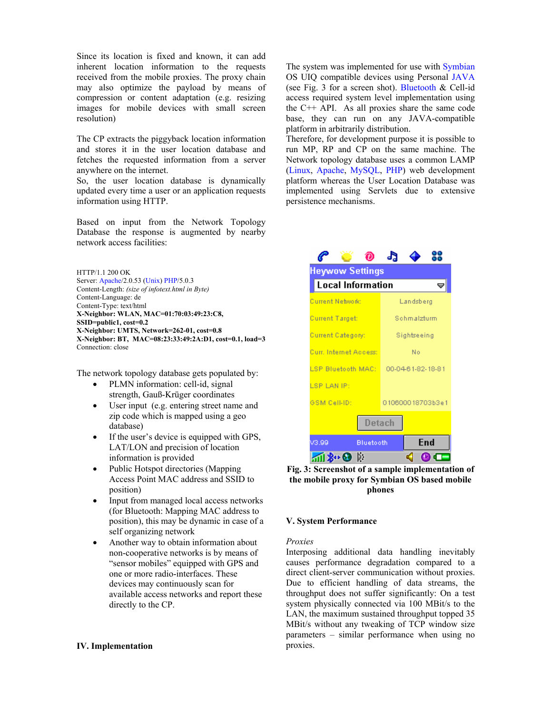Since its location is fixed and known, it can add inherent location information to the requests received from the mobile proxies. The proxy chain may also optimize the payload by means of compression or content adaptation (e.g. resizing images for mobile devices with small screen resolution)

The CP extracts the piggyback location information and stores it in the user location database and fetches the requested information from a server anywhere on the internet.

So, the user location database is dynamically updated every time a user or an application requests information using HTTP.

Based on input from the Network Topology Database the response is augmented by nearby network access facilities:

HTTP/1.1 200 OK Server: [Apache/](http://de.wikipedia.org/wiki/Apache_%28Software%29)2.0.53 ([Unix\)](http://de.wikipedia.org/wiki/Unix) [PHP/](http://de.wikipedia.org/wiki/PHP)5.0.3 Content-Length: *(size of infotext.html in Byte)* Content-Language: de Content-Type: text/html **X-Neighbor: WLAN, MAC=01:70:03:49:23:C8, SSID=public1, cost=0.2 X-Neighbor: UMTS, Network=262-01, cost=0.8 X-Neighbor: BT, MAC=08:23:33:49:2A:D1, cost=0.1, load=3**  Connection: close

The network topology database gets populated by:

- PLMN information: cell-id, signal strength, Gauß-Krüger coordinates
- User input (e.g. entering street name and zip code which is mapped using a geo database)
- If the user's device is equipped with GPS. LAT/LON and precision of location information is provided
- Public Hotspot directories (Mapping Access Point MAC address and SSID to position)
- Input from managed local access networks (for Bluetooth: Mapping MAC address to position), this may be dynamic in case of a self organizing network
- Another way to obtain information about non-cooperative networks is by means of "sensor mobiles" equipped with GPS and one or more radio-interfaces. These devices may continuously scan for available access networks and report these directly to the CP.

# **IV. Implementation**

The system was implemented for use with [Symbian](http://www.symbian.com/) OS UIQ compatible devices using Personal [JAVA](http://java.sun.com/) (see Fig. 3 for a screen shot). [Bluetooth](http://www.bluetooth.com/)  $&$  Cell-id access required system level implementation using the C++ API. As all proxies share the same code base, they can run on any JAVA-compatible platform in arbitrarily distribution.

Therefore, for development purpose it is possible to run MP, RP and CP on the same machine. The Network topology database uses a common LAMP ([Linux,](http://www.linux.org/) [Apache,](http://www.apache.org/) [MySQL,](http://www.mysql.com/) [PHP\)](http://www.php.net/) web development platform whereas the User Location Database was implemented using Servlets due to extensive persistence mechanisms.

|                                                    |                  | æ                |  |     |
|----------------------------------------------------|------------------|------------------|--|-----|
| <b>Heywow Settings</b><br><b>Local Information</b> |                  |                  |  |     |
| <b>Current Network:</b>                            |                  | Landsberg        |  |     |
| <b>Current Target:</b>                             |                  | Schmalzturm      |  |     |
| Current Category:                                  |                  | Sightseeing      |  |     |
| Curr. Internet Access:                             |                  | No               |  |     |
| LSP Bluetooth MAC: 00-04-61-82-18-81               |                  |                  |  |     |
| <b>LSP LAN IP:</b>                                 |                  |                  |  |     |
| <b>GSM Cell-ID:</b>                                |                  | 010600018703b3e1 |  |     |
| <b>Detach</b>                                      |                  |                  |  |     |
| V3.99                                              | <b>Bluetooth</b> |                  |  | End |
|                                                    |                  |                  |  |     |

**Fig. 3: Screenshot of a sample implementation of the mobile proxy for Symbian OS based mobile phones**

### **V. System Performance**

#### *Proxies*

Interposing additional data handling inevitably causes performance degradation compared to a direct client-server communication without proxies. Due to efficient handling of data streams, the throughput does not suffer significantly: On a test system physically connected via 100 MBit/s to the LAN, the maximum sustained throughput topped 35 MBit/s without any tweaking of TCP window size parameters – similar performance when using no proxies.